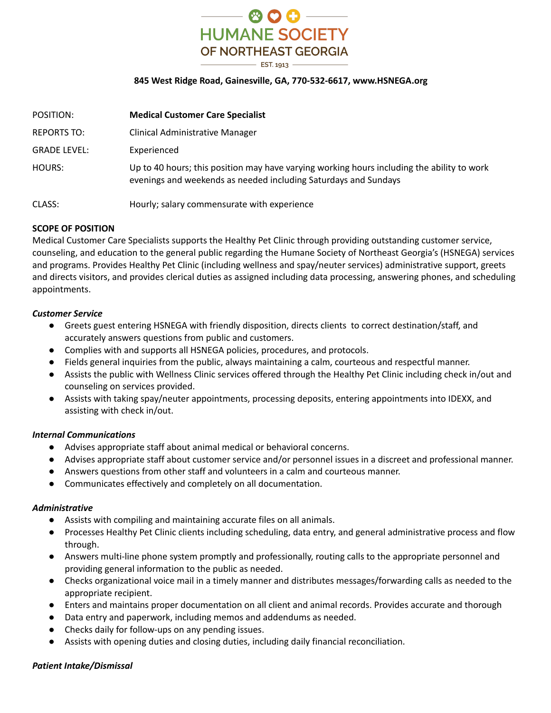

# **845 West Ridge Road, Gainesville, GA, 770-532-6617, www.HSNEGA.org**

| POSITION:           | <b>Medical Customer Care Specialist</b>                                                                                                                       |
|---------------------|---------------------------------------------------------------------------------------------------------------------------------------------------------------|
| <b>REPORTS TO:</b>  | <b>Clinical Administrative Manager</b>                                                                                                                        |
| <b>GRADE LEVEL:</b> | Experienced                                                                                                                                                   |
| HOURS:              | Up to 40 hours; this position may have varying working hours including the ability to work<br>evenings and weekends as needed including Saturdays and Sundays |
| CLASS:              | Hourly; salary commensurate with experience                                                                                                                   |

## **SCOPE OF POSITION**

Medical Customer Care Specialists supports the Healthy Pet Clinic through providing outstanding customer service, counseling, and education to the general public regarding the Humane Society of Northeast Georgia's (HSNEGA) services and programs. Provides Healthy Pet Clinic (including wellness and spay/neuter services) administrative support, greets and directs visitors, and provides clerical duties as assigned including data processing, answering phones, and scheduling appointments.

## *Customer Service*

- Greets guest entering HSNEGA with friendly disposition, directs clients to correct destination/staff, and accurately answers questions from public and customers.
- Complies with and supports all HSNEGA policies, procedures, and protocols.
- Fields general inquiries from the public, always maintaining a calm, courteous and respectful manner.
- Assists the public with Wellness Clinic services offered through the Healthy Pet Clinic including check in/out and counseling on services provided.
- Assists with taking spay/neuter appointments, processing deposits, entering appointments into IDEXX, and assisting with check in/out.

## *Internal Communications*

- Advises appropriate staff about animal medical or behavioral concerns.
- Advises appropriate staff about customer service and/or personnel issues in a discreet and professional manner.
- Answers questions from other staff and volunteers in a calm and courteous manner.
- Communicates effectively and completely on all documentation.

## *Administrative*

- Assists with compiling and maintaining accurate files on all animals.
- Processes Healthy Pet Clinic clients including scheduling, data entry, and general administrative process and flow through.
- Answers multi-line phone system promptly and professionally, routing calls to the appropriate personnel and providing general information to the public as needed.
- Checks organizational voice mail in a timely manner and distributes messages/forwarding calls as needed to the appropriate recipient.
- Enters and maintains proper documentation on all client and animal records. Provides accurate and thorough
- Data entry and paperwork, including memos and addendums as needed.
- Checks daily for follow-ups on any pending issues.
- Assists with opening duties and closing duties, including daily financial reconciliation.

## *Patient Intake/Dismissal*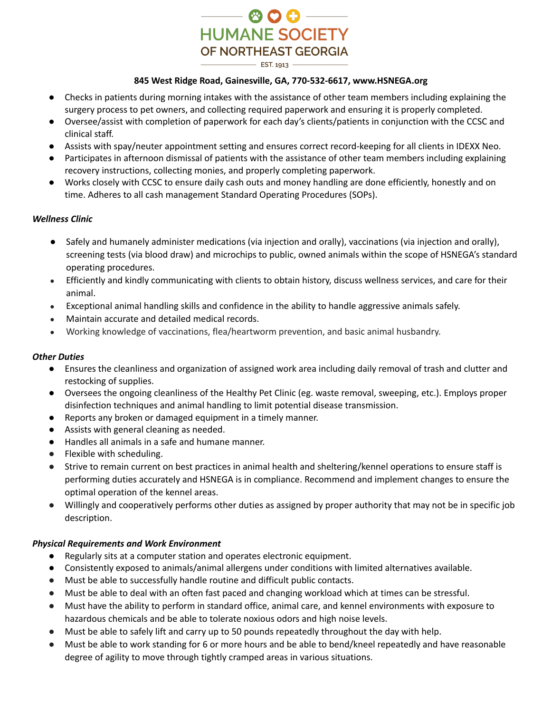

 $-$  EST. 1913 -

# **845 West Ridge Road, Gainesville, GA, 770-532-6617, www.HSNEGA.org**

- Checks in patients during morning intakes with the assistance of other team members including explaining the surgery process to pet owners, and collecting required paperwork and ensuring it is properly completed.
- Oversee/assist with completion of paperwork for each day's clients/patients in conjunction with the CCSC and clinical staff.
- Assists with spay/neuter appointment setting and ensures correct record-keeping for all clients in IDEXX Neo.
- Participates in afternoon dismissal of patients with the assistance of other team members including explaining recovery instructions, collecting monies, and properly completing paperwork.
- Works closely with CCSC to ensure daily cash outs and money handling are done efficiently, honestly and on time. Adheres to all cash management Standard Operating Procedures (SOPs).

# *Wellness Clinic*

- Safely and humanely administer medications (via injection and orally), vaccinations (via injection and orally), screening tests (via blood draw) and microchips to public, owned animals within the scope of HSNEGA's standard operating procedures.
- Efficiently and kindly communicating with clients to obtain history, discuss wellness services, and care for their animal.
- Exceptional animal handling skills and confidence in the ability to handle aggressive animals safely.
- Maintain accurate and detailed medical records.
- Working knowledge of vaccinations, flea/heartworm prevention, and basic animal husbandry.

# *Other Duties*

- Ensures the cleanliness and organization of assigned work area including daily removal of trash and clutter and restocking of supplies.
- Oversees the ongoing cleanliness of the Healthy Pet Clinic (eg. waste removal, sweeping, etc.). Employs proper disinfection techniques and animal handling to limit potential disease transmission.
- Reports any broken or damaged equipment in a timely manner.
- Assists with general cleaning as needed.
- Handles all animals in a safe and humane manner.
- Flexible with scheduling.
- Strive to remain current on best practices in animal health and sheltering/kennel operations to ensure staff is performing duties accurately and HSNEGA is in compliance. Recommend and implement changes to ensure the optimal operation of the kennel areas.
- Willingly and cooperatively performs other duties as assigned by proper authority that may not be in specific job description.

# *Physical Requirements and Work Environment*

- Regularly sits at a computer station and operates electronic equipment.
- Consistently exposed to animals/animal allergens under conditions with limited alternatives available.
- Must be able to successfully handle routine and difficult public contacts.
- Must be able to deal with an often fast paced and changing workload which at times can be stressful.
- Must have the ability to perform in standard office, animal care, and kennel environments with exposure to hazardous chemicals and be able to tolerate noxious odors and high noise levels.
- Must be able to safely lift and carry up to 50 pounds repeatedly throughout the day with help.
- Must be able to work standing for 6 or more hours and be able to bend/kneel repeatedly and have reasonable degree of agility to move through tightly cramped areas in various situations.